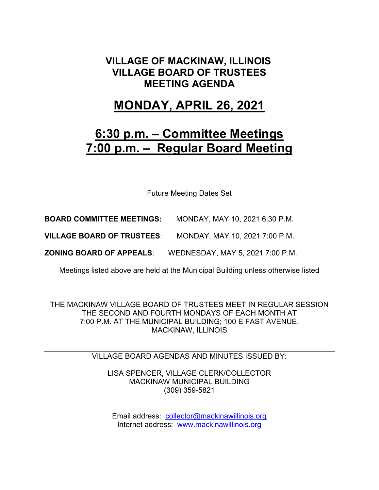### **VILLAGE OF MACKINAW, ILLINOIS VILLAGE BOARD OF TRUSTEES MEETING AGENDA**

## **MONDAY, APRIL 26, 2021**

# **6:30 p.m. – Committee Meetings 7:00 p.m. – Regular Board Meeting**

Future Meeting Dates Set

**BOARD COMMITTEE MEETINGS:** MONDAY, MAY 10, 2021 6:30 P.M.

**VILLAGE BOARD OF TRUSTEES**: MONDAY, MAY 10, 2021 7:00 P.M.

**ZONING BOARD OF APPEALS**: WEDNESDAY, MAY 5, 2021 7:00 P.M.

Meetings listed above are held at the Municipal Building unless otherwise listed

THE MACKINAW VILLAGE BOARD OF TRUSTEES MEET IN REGULAR SESSION THE SECOND AND FOURTH MONDAYS OF EACH MONTH AT 7:00 P.M. AT THE MUNICIPAL BUILDING; 100 E FAST AVENUE, MACKINAW, ILLINOIS

VILLAGE BOARD AGENDAS AND MINUTES ISSUED BY:

LISA SPENCER, VILLAGE CLERK/COLLECTOR MACKINAW MUNICIPAL BUILDING (309) 359-5821

Email address: [collector@mackinawillinois.org](mailto:collector@mackinawillinois.org) Internet address: [www.mackinawillinois.org](http://www.mackinawillinois.org/)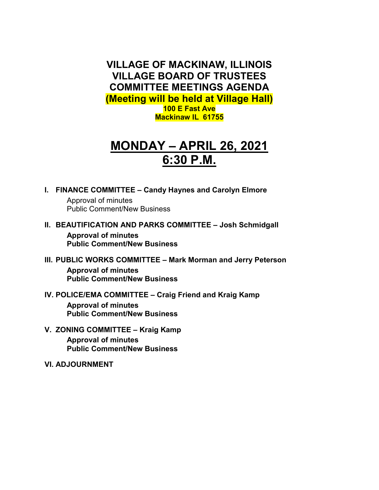**VILLAGE OF MACKINAW, ILLINOIS VILLAGE BOARD OF TRUSTEES COMMITTEE MEETINGS AGENDA (Meeting will be held at Village Hall) 100 E Fast Ave Mackinaw IL 61755**

# **MONDAY – APRIL 26, 2021 6:30 P.M.**

**I. FINANCE COMMITTEE – Candy Haynes and Carolyn Elmore**

Approval of minutes Public Comment/New Business

**II. BEAUTIFICATION AND PARKS COMMITTEE – Josh Schmidgall**

**Approval of minutes Public Comment/New Business**

- **III. PUBLIC WORKS COMMITTEE – Mark Morman and Jerry Peterson Approval of minutes Public Comment/New Business**
- **IV. POLICE/EMA COMMITTEE – Craig Friend and Kraig Kamp Approval of minutes Public Comment/New Business**
- **V. ZONING COMMITTEE – Kraig Kamp Approval of minutes Public Comment/New Business**
- **VI. ADJOURNMENT**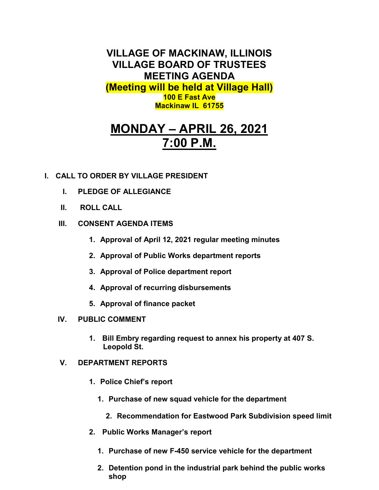**VILLAGE OF MACKINAW, ILLINOIS VILLAGE BOARD OF TRUSTEES MEETING AGENDA (Meeting will be held at Village Hall) 100 E Fast Ave Mackinaw IL 61755**

# **MONDAY – APRIL 26, 2021 7:00 P.M.**

### **I. CALL TO ORDER BY VILLAGE PRESIDENT**

- **I. PLEDGE OF ALLEGIANCE**
- **II. ROLL CALL**
- **III. CONSENT AGENDA ITEMS** 
	- **1. Approval of April 12, 2021 regular meeting minutes**
	- **2. Approval of Public Works department reports**
	- **3. Approval of Police department report**
	- **4. Approval of recurring disbursements**
	- **5. Approval of finance packet**
- **IV. PUBLIC COMMENT**
	- **1. Bill Embry regarding request to annex his property at 407 S. Leopold St.**
- **V. DEPARTMENT REPORTS** 
	- **1. Police Chief's report**
		- **1. Purchase of new squad vehicle for the department**
			- **2. Recommendation for Eastwood Park Subdivision speed limit**
	- **2. Public Works Manager's report**
		- **1. Purchase of new F-450 service vehicle for the department**
		- **2. Detention pond in the industrial park behind the public works shop**